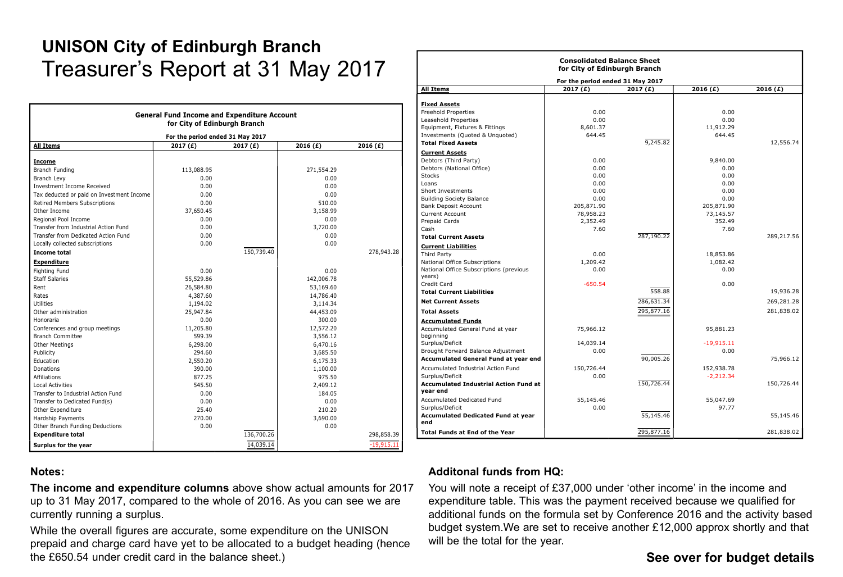# **UNISON City of Edinburgh Branch** Treasurer's Report at 31 May 2017

| <b>General Fund Income and Expenditure Account</b><br>for City of Edinburgh Branch<br>For the period ended 31 May 2017 |            |            |            |              |  |
|------------------------------------------------------------------------------------------------------------------------|------------|------------|------------|--------------|--|
|                                                                                                                        |            |            |            |              |  |
| <b>Income</b>                                                                                                          |            |            |            |              |  |
| <b>Branch Funding</b>                                                                                                  | 113,088.95 |            | 271,554.29 |              |  |
| <b>Branch Levy</b>                                                                                                     | 0.00       |            | 0.00       |              |  |
| <b>Investment Income Received</b>                                                                                      | 0.00       |            | 0.00       |              |  |
| Tax deducted or paid on Investment Income                                                                              | 0.00       |            | 0.00       |              |  |
| Retired Members Subscriptions                                                                                          | 0.00       |            | 510.00     |              |  |
| Other Income                                                                                                           | 37,650.45  |            | 3,158.99   |              |  |
| Regional Pool Income                                                                                                   | 0.00       |            | 0.00       |              |  |
| Transfer from Industrial Action Fund                                                                                   | 0.00       |            | 3,720.00   |              |  |
| Transfer from Dedicated Action Fund                                                                                    | 0.00       |            | 0.00       |              |  |
| Locally collected subscriptions                                                                                        | 0.00       |            | 0.00       |              |  |
| <b>Income total</b>                                                                                                    |            | 150,739.40 |            | 278,943.28   |  |
|                                                                                                                        |            |            |            |              |  |
| <b>Expenditure</b>                                                                                                     |            |            |            |              |  |
| <b>Fighting Fund</b>                                                                                                   | 0.00       |            | 0.00       |              |  |
| <b>Staff Salaries</b>                                                                                                  | 55,529.86  |            | 142,006.78 |              |  |
| Rent                                                                                                                   | 26,584.80  |            | 53,169.60  |              |  |
| Rates                                                                                                                  | 4,387.60   |            | 14,786.40  |              |  |
| Utilities                                                                                                              | 1,194.02   |            | 3,114.34   |              |  |
| Other administration                                                                                                   | 25,947.84  |            | 44,453.09  |              |  |
| Honoraria                                                                                                              | 0.00       |            | 300.00     |              |  |
| Conferences and group meetings                                                                                         | 11,205.80  |            | 12,572.20  |              |  |
| <b>Branch Committee</b>                                                                                                | 599.39     |            | 3,556.12   |              |  |
| Other Meetings                                                                                                         | 6,298.00   |            | 6,470.16   |              |  |
| Publicity                                                                                                              | 294.60     |            | 3,685.50   |              |  |
| Education                                                                                                              | 2,550.20   |            | 6,175.33   |              |  |
| <b>Donations</b>                                                                                                       | 390.00     |            | 1,100.00   |              |  |
| <b>Affiliations</b>                                                                                                    | 877.25     |            | 975.50     |              |  |
| <b>Local Activities</b>                                                                                                | 545.50     |            | 2,409.12   |              |  |
| Transfer to Industrial Action Fund                                                                                     | 0.00       |            | 184.05     |              |  |
| Transfer to Dedicated Fund(s)                                                                                          | 0.00       |            | 0.00       |              |  |
| Other Expenditure                                                                                                      | 25.40      |            | 210.20     |              |  |
| Hardship Payments                                                                                                      | 270.00     |            | 3,690.00   |              |  |
| Other Branch Funding Deductions                                                                                        | 0.00       |            | 0.00       |              |  |
| <b>Expenditure total</b>                                                                                               |            | 136,700.26 |            | 298,858.39   |  |
| Surplus for the year                                                                                                   |            | 14,039.14  |            | $-19,915.11$ |  |

#### for City of Edinburgh Branch For the period ended 31 May 2017 **All Items** 2017 $(f)$  $2017(f)$ 2016 $(E)$ 2016 $(E)$ **Fixed Assets Freehold Properties**  $0.00$  $0.00$ Leasehold Properties  $0.00$  $0.00$ 8,601.37 11,912.29 Equipment, Fixtures & Fittings 644.45 644.45 Investments (Quoted & Unquoted) 9.245.82 12.556.74 **Total Fixed Assets Current Assets** 9,840.00 Debtors (Third Party)  $0.00$ Debtors (National Office)  $0.00$  $0.00$ Stocks  $0.00$  $0.00$ Loans  $0.00$  $0.00$ Short Investments  $0.00$  $0.00$ **Building Society Balance**  $0.00$  $0.00$ **Bank Deposit Account** 205.871.90 205.871.90 78,958.23 73,145.57 Current Account Prepaid Cards 2,352.49 352.49 Cash 7.60 7.60 **Total Current Assets** 287,190.22 289.217.56 **Current Liabilities** Third Party 18,853.86  $0.00$ 1.082.42 National Office Subscriptions 1,209.42 National Office Subscriptions (previous  $0.00$  $0.00$ vears)  $-650.54$ Credit Card  $0.00$ **Total Current Liabilities** 558.88 19,936.28 269,281.28 286,631.34 **Net Current Assets** 295.877.16 281.838.02 **Total Assets Accumulated Funds** Accumulated General Fund at year 75,966.12 95.881.23 beginning Surplus/Deficit 14.039.14  $-19.915.11$ Brought Forward Balance Adjustment  $0.00$ n nn **Accumulated General Fund at vear end** 90,005.26 75,966.12 Accumulated Industrial Action Fund 150,726.44 152,938.78 Surplus/Deficit  $0.00$  $-2.212.34$ 150,726.44 150,726.44 **Accumulated Industrial Action Fund at** vear end Accumulated Dedicated Fund 55,145.46 55,047.69 Surplus/Deficit  $0.00$ 97.77 55,145.46 55,145.46 **Accumulated Dedicated Fund at year** end 295.877.16 281,838.02 **Total Funds at End of the Year**

**Consolidated Balance Sheet** 

### Notes:

The income and expenditure columns above show actual amounts for 2017 up to 31 May 2017, compared to the whole of 2016. As you can see we are currently running a surplus.

While the overall figures are accurate, some expenditure on the UNISON prepaid and charge card have yet to be allocated to a budget heading (hence the £650.54 under credit card in the balance sheet.)

### **Additonal funds from HQ:**

You will note a receipt of £37,000 under 'other income' in the income and expenditure table. This was the payment received because we qualified for additional funds on the formula set by Conference 2016 and the activity based budget system. We are set to receive another £12,000 approx shortly and that will be the total for the year.

# See over for budget details